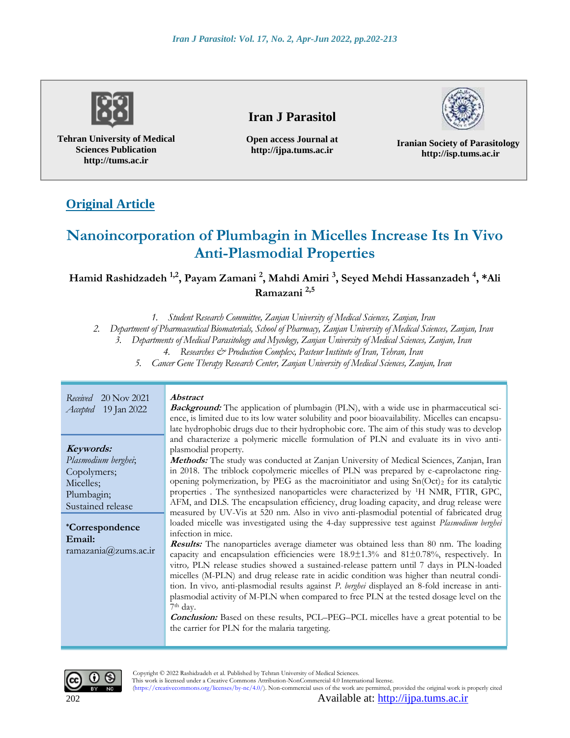

**Tehran University of Medical Sciences Publication http://tums.ac.ir**

# **Iran J Parasitol**

**Open access Journal at http://ijpa.tums.ac.ir**

**Iranian Society of Parasitology http://isp.tums.ac.ir**

# **Original Article**

# **Nanoincorporation of Plumbagin in Micelles Increase Its In Vivo Anti-Plasmodial Properties**

**Hamid Rashidzadeh 1,2 , Payam Zamani <sup>2</sup> , Mahdi Amiri <sup>3</sup> , Seyed Mehdi Hassanzadeh <sup>4</sup> , \*Ali Ramazani 2,5**

*1. Student Research Committee, Zanjan University of Medical Sciences, Zanjan, Iran*

*2. Department of Pharmaceutical Biomaterials, School of Pharmacy, Zanjan University of Medical Sciences, Zanjan, Iran*

*3. Departments of Medical Parasitology and Mycology, Zanjan University of Medical Sciences, Zanjan, Iran*

*4. Researches & Production Complex, Pasteur Institute of Iran, Tehran, Iran*

*5. Cancer Gene Therapy Research Center, Zanjan University of Medical Sciences, Zanjan, Iran*

| 20 Nov 2021                                                                                                                                                 | <i><b>Abstract</b></i>                                                                                                                                                                                                                                                                                                                                                                                                                                                                                                                                                                                                                                                                                                                                                                                                                                                                                                                                                                                                                                                                                                                                                                                                                                                                                                                                                                                                                                                                                                                                                                   |
|-------------------------------------------------------------------------------------------------------------------------------------------------------------|------------------------------------------------------------------------------------------------------------------------------------------------------------------------------------------------------------------------------------------------------------------------------------------------------------------------------------------------------------------------------------------------------------------------------------------------------------------------------------------------------------------------------------------------------------------------------------------------------------------------------------------------------------------------------------------------------------------------------------------------------------------------------------------------------------------------------------------------------------------------------------------------------------------------------------------------------------------------------------------------------------------------------------------------------------------------------------------------------------------------------------------------------------------------------------------------------------------------------------------------------------------------------------------------------------------------------------------------------------------------------------------------------------------------------------------------------------------------------------------------------------------------------------------------------------------------------------------|
| Received                                                                                                                                                    | <b>Background:</b> The application of plumbagin (PLN), with a wide use in pharmaceutical sci-                                                                                                                                                                                                                                                                                                                                                                                                                                                                                                                                                                                                                                                                                                                                                                                                                                                                                                                                                                                                                                                                                                                                                                                                                                                                                                                                                                                                                                                                                            |
| 19 Jan 2022                                                                                                                                                 | ence, is limited due to its low water solubility and poor bioavailability. Micelles can encapsu-                                                                                                                                                                                                                                                                                                                                                                                                                                                                                                                                                                                                                                                                                                                                                                                                                                                                                                                                                                                                                                                                                                                                                                                                                                                                                                                                                                                                                                                                                         |
| Accepted                                                                                                                                                    | late hydrophobic drugs due to their hydrophobic core. The aim of this study was to develop                                                                                                                                                                                                                                                                                                                                                                                                                                                                                                                                                                                                                                                                                                                                                                                                                                                                                                                                                                                                                                                                                                                                                                                                                                                                                                                                                                                                                                                                                               |
| Keywords:<br>Plasmodium berghei;<br>Copolymers;<br>Micelles;<br>Plumbagin;<br>Sustained release<br><i>*Correspondence</i><br>Email:<br>ramazania@zums.ac.ir | and characterize a polymeric micelle formulation of PLN and evaluate its in vivo anti-<br>plasmodial property.<br>Methods: The study was conducted at Zanjan University of Medical Sciences, Zanjan, Iran<br>in 2018. The triblock copolymeric micelles of PLN was prepared by e-caprolactone ring-<br>opening polymerization, by PEG as the macroinitiator and using $Sn(Oct)_2$ for its catalytic<br>properties . The synthesized nanoparticles were characterized by <sup>1</sup> H NMR, FTIR, GPC,<br>AFM, and DLS. The encapsulation efficiency, drug loading capacity, and drug release were<br>measured by UV-Vis at 520 nm. Also in vivo anti-plasmodial potential of fabricated drug<br>loaded micelle was investigated using the 4-day suppressive test against Plasmodium berghei<br>infection in mice.<br><b>Results:</b> The nanoparticles average diameter was obtained less than 80 nm. The loading<br>capacity and encapsulation efficiencies were $18.9\pm1.3\%$ and $81\pm0.78\%$ , respectively. In<br>vitro, PLN release studies showed a sustained-release pattern until 7 days in PLN-loaded<br>micelles (M-PLN) and drug release rate in acidic condition was higher than neutral condi-<br>tion. In vivo, anti-plasmodial results against P. berghei displayed an 8-fold increase in anti-<br>plasmodial activity of M-PLN when compared to free PLN at the tested dosage level on the<br>7 <sup>th</sup> day.<br><b>Conclusion:</b> Based on these results, PCL-PEG-PCL micelles have a great potential to be<br>the carrier for PLN for the malaria targeting. |



 Copyright © 2022 Rashidzadeh et al. Published by Tehran University of Medical Sciences. This work is licensed under a Creative Commons Attribution-NonCommercial 4.0 International license. (https://creativecommons.org/licenses/by-nc/4.0/). Non-commercial uses of the work are permitted, provided the original work is properly cited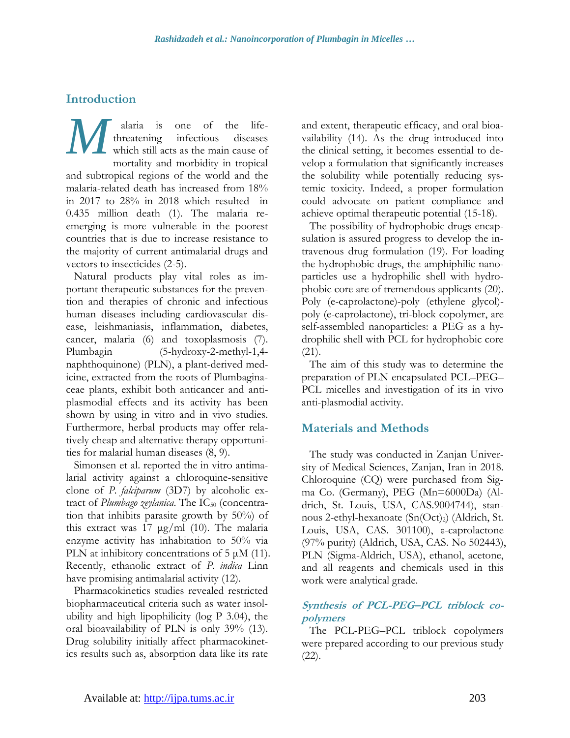# **Introduction**

alaria is one of the lifethreatening infectious diseases which still acts as the main cause of mortality and morbidity in tropical and subtropical regions of the world and the malaria-related death has increased from 18% in 2017 to 28% in 2018 which resulted in 0.435 million death (1). The malaria reemerging is more vulnerable in the poorest countries that is due to increase resistance to the majority of current antimalarial drugs and vectors to insecticides (2-5). *M*

Natural products play vital roles as important therapeutic substances for the prevention and therapies of chronic and infectious human diseases including cardiovascular disease, leishmaniasis, inflammation, diabetes, cancer, malaria (6) and toxoplasmosis (7). Plumbagin (5-hydroxy-2-methyl-1,4 naphthoquinone) (PLN), a plant-derived medicine, extracted from the roots of Plumbaginaceae plants, exhibit both anticancer and antiplasmodial effects and its activity has been shown by using in vitro and in vivo studies. Furthermore, herbal products may offer relatively cheap and alternative therapy opportunities for malarial human diseases (8, 9).

Simonsen et al. reported the in vitro antimalarial activity against a chloroquine-sensitive clone of *P. falciparum* (3D7) by alcoholic extract of *Plumbago zeylanica*. The IC<sub>50</sub> (concentration that inhibits parasite growth by 50%) of this extract was 17  $\mu$ g/ml (10). The malaria enzyme activity has inhabitation to 50% via PLN at inhibitory concentrations of 5  $\mu$ M (11). Recently, ethanolic extract of *P. indica* Linn have promising antimalarial activity (12).

Pharmacokinetics studies revealed restricted biopharmaceutical criteria such as water insolubility and high lipophilicity (log P 3.04), the oral bioavailability of PLN is only 39% (13). Drug solubility initially affect pharmacokinetics results such as, absorption data like its rate and extent, therapeutic efficacy, and oral bioavailability (14). As the drug introduced into the clinical setting, it becomes essential to develop a formulation that significantly increases the solubility while potentially reducing systemic toxicity. Indeed, a proper formulation could advocate on patient compliance and achieve optimal therapeutic potential (15-18).

The possibility of hydrophobic drugs encapsulation is assured progress to develop the intravenous drug formulation (19). For loading the hydrophobic drugs, the amphiphilic nanoparticles use a hydrophilic shell with hydrophobic core are of tremendous applicants (20). Poly (e-caprolactone)-poly (ethylene glycol) poly (e-caprolactone), tri-block copolymer, are self-assembled nanoparticles: a PEG as a hydrophilic shell with PCL for hydrophobic core (21).

The aim of this study was to determine the preparation of PLN encapsulated PCL–PEG– PCL micelles and investigation of its in vivo anti-plasmodial activity.

# **Materials and Methods**

The study was conducted in Zanjan University of Medical Sciences, Zanjan, Iran in 2018. Chloroquine (CQ) were purchased from Sigma Co. (Germany), PEG (Mn=6000Da) (Aldrich, St. Louis, USA, CAS.9004744), stannous 2-ethyl-hexanoate (Sn(Oct)<sub>2</sub>) (Aldrich, St. Louis, USA, CAS. 301100), ε-caprolactone (97% purity) (Aldrich, USA, CAS. No 502443), PLN (Sigma-Aldrich, USA), ethanol, acetone, and all reagents and chemicals used in this work were analytical grade.

### **Synthesis of PCL-PEG–PCL triblock copolymers**

The PCL-PEG–PCL triblock copolymers were prepared according to our previous study (22).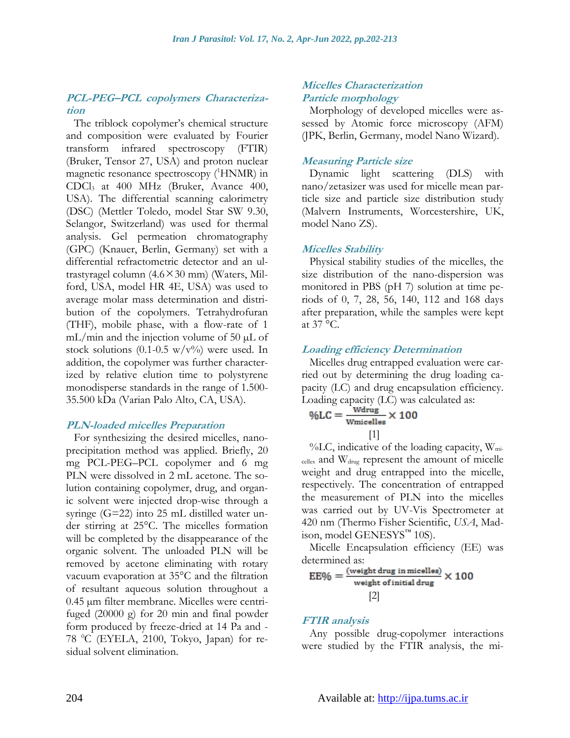### **PCL-PEG–PCL copolymers Characterization**

The triblock copolymer's chemical structure and composition were evaluated by Fourier transform infrared spectroscopy (FTIR) (Bruker, Tensor 27, USA) and proton nuclear magnetic resonance spectroscopy (<sup>1</sup>HNMR) in CDCl<sup>3</sup> at 400 MHz (Bruker, Avance 400, USA). The differential scanning calorimetry (DSC) (Mettler Toledo, model Star SW 9.30, Selangor, Switzerland) was used for thermal analysis. Gel permeation chromatography (GPC) (Knauer, Berlin, Germany) set with a differential refractometric detector and an ultrastyragel column  $(4.6 \times 30 \text{ mm})$  (Waters, Milford, USA, model HR 4E, USA) was used to average molar mass determination and distribution of the copolymers. Tetrahydrofuran (THF), mobile phase, with a flow-rate of 1 mL/min and the injection volume of 50 µL of stock solutions (0.1-0.5 w/v%) were used. In addition, the copolymer was further characterized by relative elution time to polystyrene monodisperse standards in the range of 1.500- 35.500 kDa (Varian Palo Alto, CA, USA).

#### **PLN-loaded micelles Preparation**

For synthesizing the desired micelles, nanoprecipitation method was applied. Briefly, 20 mg PCL-PEG–PCL copolymer and 6 mg PLN were dissolved in 2 mL acetone. The solution containing copolymer, drug, and organic solvent were injected drop-wise through a syringe (G=22) into 25 mL distilled water under stirring at 25°C. The micelles formation will be completed by the disappearance of the organic solvent. The unloaded PLN will be removed by acetone eliminating with rotary vacuum evaporation at 35°C and the filtration of resultant aqueous solution throughout a 0.45 µm filter membrane. Micelles were centrifuged (20000 g) for 20 min and final powder form produced by freeze-dried at 14 Pa and - 78 0C (EYELA, 2100, Tokyo, Japan) for residual solvent elimination.

#### **Micelles Characterization Particle morphology**

Morphology of developed micelles were assessed by Atomic force microscopy (AFM) (JPK, Berlin, Germany, model Nano Wizard).

#### **Measuring Particle size**

Dynamic light scattering (DLS) with nano/zetasizer was used for micelle mean particle size and particle size distribution study (Malvern Instruments, Worcestershire, UK, model Nano ZS).

#### **Micelles Stability**

Physical stability studies of the micelles, the size distribution of the nano-dispersion was monitored in PBS (pH 7) solution at time periods of 0, 7, 28, 56, 140, 112 and 168 days after preparation, while the samples were kept at 37 °C.

### **Loading efficiency Determination**

Micelles drug entrapped evaluation were carried out by determining the drug loading capacity (LC) and drug encapsulation efficiency. Loading capacity (LC) was calculated as:

$$
\% LC = \frac{\text{Wdrug}}{\text{Wmicelles}} \times 100
$$

 $\%$ LC, indicative of the loading capacity, W<sub>mi-</sub> celles and Wdrug represent the amount of micelle weight and drug entrapped into the micelle, respectively. The concentration of entrapped the measurement of PLN into the micelles was carried out by UV-Vis Spectrometer at 420 nm (Thermo Fisher Scientific, *USA*, Madison, model GENESYS™ 10S).

Micelle Encapsulation efficiency (EE) was determined as:

$$
EE\% = \frac{\text{(weight drug in micelles)}}{\text{weight of initial drug}} \times 100
$$
\n[2]

#### **FTIR analysis**

Any possible drug-copolymer interactions were studied by the FTIR analysis, the mi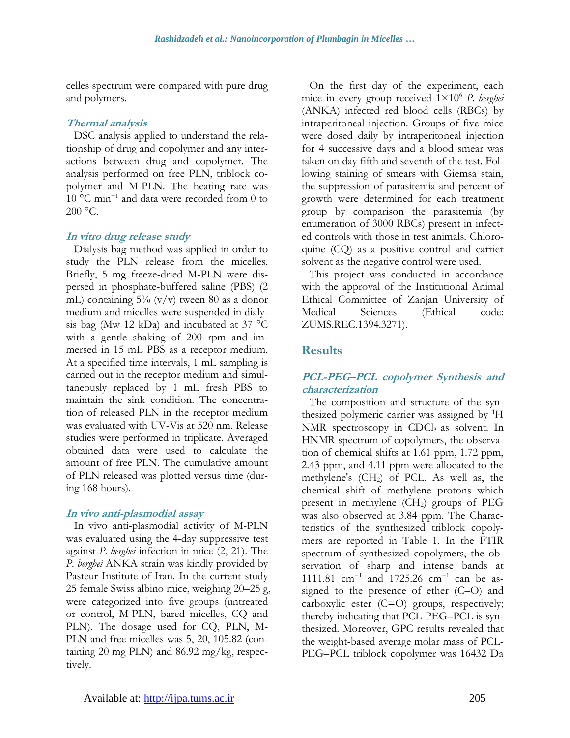celles spectrum were compared with pure drug and polymers.

#### **Thermal analysis**

DSC analysis applied to understand the relationship of drug and copolymer and any interactions between drug and copolymer. The analysis performed on free PLN, triblock copolymer and M-PLN. The heating rate was 10 °C min<sup>−</sup><sup>1</sup> and data were recorded from 0 to  $200 \text{ °C}$ .

#### **In vitro drug release study**

Dialysis bag method was applied in order to study the PLN release from the micelles. Briefly, 5 mg freeze-dried M-PLN were dispersed in phosphate-buffered saline (PBS) (2 mL) containing  $5\%$  (v/v) tween 80 as a donor medium and micelles were suspended in dialysis bag (Mw 12 kDa) and incubated at 37 °C with a gentle shaking of 200 rpm and immersed in 15 mL PBS as a receptor medium. At a specified time intervals, 1 mL sampling is carried out in the receptor medium and simultaneously replaced by 1 mL fresh PBS to maintain the sink condition. The concentration of released PLN in the receptor medium was evaluated with UV-Vis at 520 nm. Release studies were performed in triplicate. Averaged obtained data were used to calculate the amount of free PLN. The cumulative amount of PLN released was plotted versus time (during 168 hours).

### **In vivo anti-plasmodial assay**

In vivo anti-plasmodial activity of M-PLN was evaluated using the 4-day suppressive test against *P. berghei* infection in mice (2, 21). The *P. berghei* ANKA strain was kindly provided by Pasteur Institute of Iran. In the current study 25 female Swiss albino mice, weighing 20–25 g, were categorized into five groups (untreated or control, M-PLN, bared micelles, CQ and PLN). The dosage used for CQ, PLN, M-PLN and free micelles was 5, 20, 105.82 (containing 20 mg PLN) and 86.92 mg/kg, respectively.

On the first day of the experiment, each mice in every group received 1×10<sup>6</sup> *P. berghei* (ANKA) infected red blood cells (RBCs) by intraperitoneal injection. Groups of five mice were dosed daily by intraperitoneal injection for 4 successive days and a blood smear was taken on day fifth and seventh of the test. Following staining of smears with Giemsa stain, the suppression of parasitemia and percent of growth were determined for each treatment group by comparison the parasitemia (by enumeration of 3000 RBCs) present in infected controls with those in test animals. Chloroquine (CQ) as a positive control and carrier solvent as the negative control were used.

This project was conducted in accordance with the approval of the Institutional Animal Ethical Committee of Zanjan University of Medical Sciences (Ethical code: ZUMS.REC.1394.3271).

# **Results**

### **PCL-PEG–PCL copolymer Synthesis and characterization**

The composition and structure of the synthesized polymeric carrier was assigned by <sup>1</sup>H NMR spectroscopy in  $CDCl<sub>3</sub>$  as solvent. In HNMR spectrum of copolymers, the observation of chemical shifts at 1.61 ppm, 1.72 ppm, 2.43 ppm, and 4.11 ppm were allocated to the methylene's (CH2) of PCL. As well as, the chemical shift of methylene protons which present in methylene  $(CH<sub>2</sub>)$  groups of PEG was also observed at 3.84 ppm. The Characteristics of the synthesized triblock copolymers are reported in Table 1. In the FTIR spectrum of synthesized copolymers, the observation of sharp and intense bands at 1111.81 cm<sup>-1</sup> and 1725.26 cm<sup>-1</sup> can be assigned to the presence of ether (C–O) and carboxylic ester (C=O) groups, respectively; thereby indicating that PCL-PEG–PCL is synthesized. Moreover, GPC results revealed that the weight-based average molar mass of PCL-PEG–PCL triblock copolymer was 16432 Da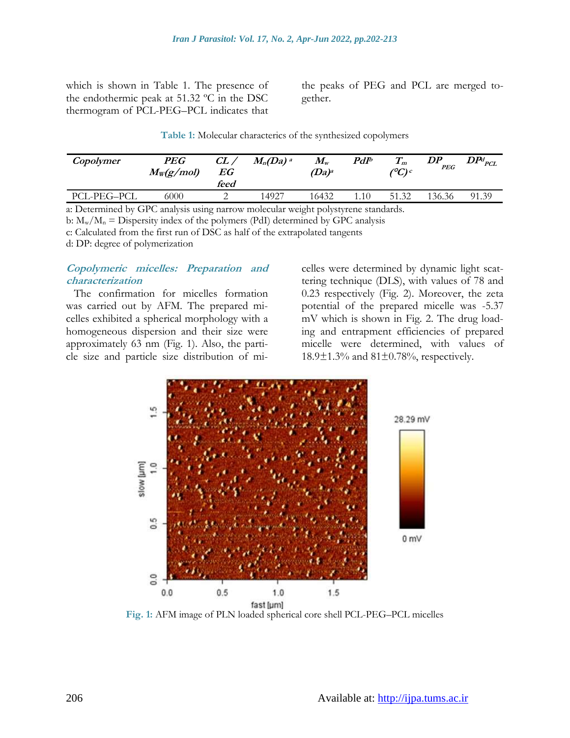which is shown in Table 1. The presence of the endothermic peak at 51.32 ºC in the DSC thermogram of PCL-PEG–PCL indicates that

the peaks of PEG and PCL are merged together.

**Table 1:** Molecular characterics of the synthesized copolymers

| Copolymer                                                                         | $\boldsymbol{PEG}$<br>$M_{W}(g/mol)$ | $CL$ /<br>EG<br>feed | $M_n(Da)$ <sup>a</sup> | $\bm{M}_{\mathrm{w}}$<br>$(Da)^a$ | $PdI^b$ | 1 m<br>$\ell^o C$ ) c | DP<br><b>PEG</b> | $\textit{DPd}_{\textit{PCL}}$ |
|-----------------------------------------------------------------------------------|--------------------------------------|----------------------|------------------------|-----------------------------------|---------|-----------------------|------------------|-------------------------------|
| PCL-PEG-PCL                                                                       | 6000                                 |                      | 14927                  | 16432                             | .10     | 51.32                 | 136.36           | 91.39                         |
| a: Determined by CPC analysis using parrow molecular weight polystyrene standards |                                      |                      |                        |                                   |         |                       |                  |                               |

a: Determined by GPC analysis using narrow molecular weight polystyrene standards. b:  $M_w/M_n =$  Dispersity index of the polymers (PdI) determined by GPC analysis

c: Calculated from the first run of DSC as half of the extrapolated tangents

d: DP: degree of polymerization

#### **Copolymeric micelles: Preparation and characterization**

The confirmation for micelles formation was carried out by AFM. The prepared micelles exhibited a spherical morphology with a homogeneous dispersion and their size were approximately 63 nm (Fig. 1). Also, the particle size and particle size distribution of micelles were determined by dynamic light scattering technique (DLS), with values of 78 and 0.23 respectively (Fig. 2). Moreover, the zeta potential of the prepared micelle was -5.37 mV which is shown in Fig. 2. The drug loading and entrapment efficiencies of prepared micelle were determined, with values of 18.9±1.3% and 81±0.78%, respectively.



**Fig. 1:** AFM image of PLN loaded spherical core shell PCL-PEG–PCL micelles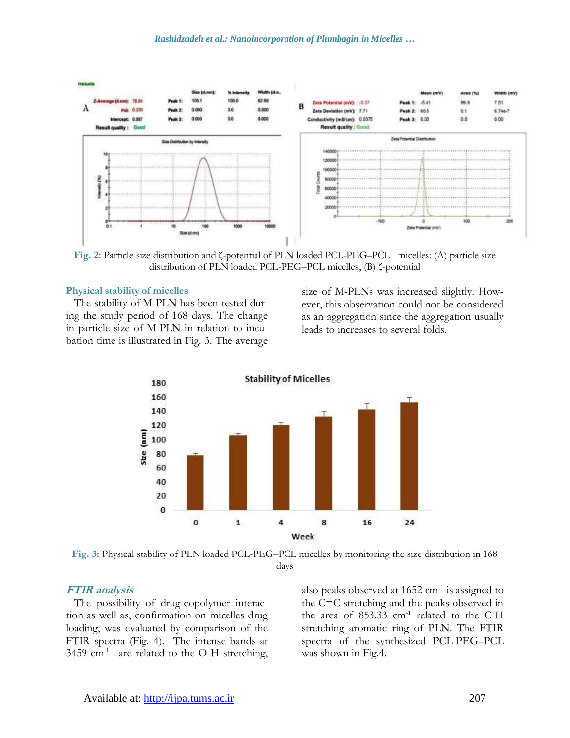

**Fig. 2:** Particle size distribution and ζ-potential of PLN loaded PCL-PEG–PCL micelles: (A) particle size distribution of PLN loaded PCL-PEG–PCL micelles, (B) ζ-potential

#### **Physical stability of micelles**

The stability of M-PLN has been tested during the study period of 168 days. The change in particle size of M-PLN in relation to incubation time is illustrated in Fig. 3. The average size of M-PLNs was increased slightly. However, this observation could not be considered as an aggregation since the aggregation usually leads to increases to several folds.



**Fig. 3:** Physical stability of PLN loaded PCL-PEG–PCL micelles by monitoring the size distribution in 168 days

#### **FTIR analysis**

The possibility of drug-copolymer interaction as well as, confirmation on micelles drug loading, was evaluated by comparison of the FTIR spectra (Fig. 4). The intense bands at 3459  $cm<sup>-1</sup>$  are related to the O-H stretching,

also peaks observed at  $1652 \text{ cm}^{-1}$  is assigned to the C=C stretching and the peaks observed in the area of  $853.33$  cm<sup>-1</sup> related to the C-H stretching aromatic ring of PLN. The FTIR spectra of the synthesized PCL-PEG–PCL was shown in Fig.4.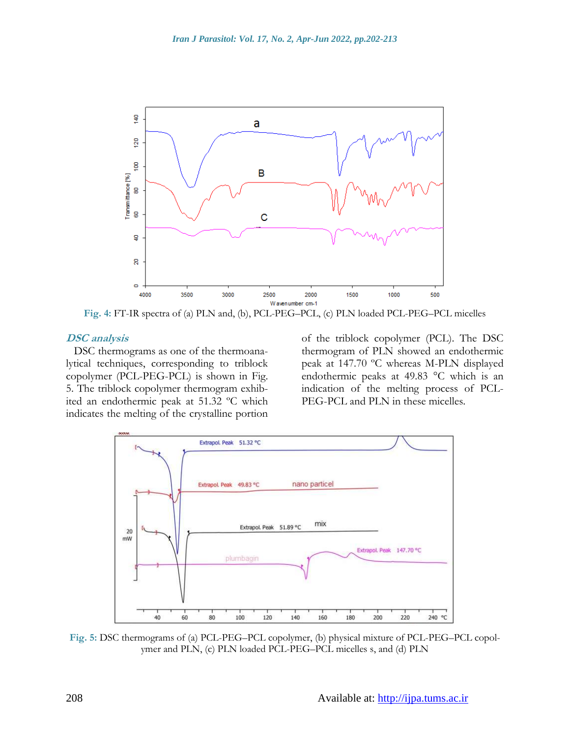

**Fig. 4:** FT-IR spectra of (a) PLN and, (b), PCL-PEG–PCL, (c) PLN loaded PCL-PEG–PCL micelles

#### **DSC analysis**

DSC thermograms as one of the thermoanalytical techniques, corresponding to triblock copolymer (PCL-PEG-PCL) is shown in Fig. 5. The triblock copolymer thermogram exhibited an endothermic peak at 51.32 ºC which indicates the melting of the crystalline portion

of the triblock copolymer (PCL). The DSC thermogram of PLN showed an endothermic peak at 147.70 ºC whereas M-PLN displayed endothermic peaks at 49.83 °C which is an indication of the melting process of PCL-PEG-PCL and PLN in these micelles.



**Fig. 5:** DSC thermograms of (a) PCL-PEG–PCL copolymer, (b) physical mixture of PCL-PEG–PCL copolymer and PLN, (c) PLN loaded PCL-PEG–PCL micelles s, and (d) PLN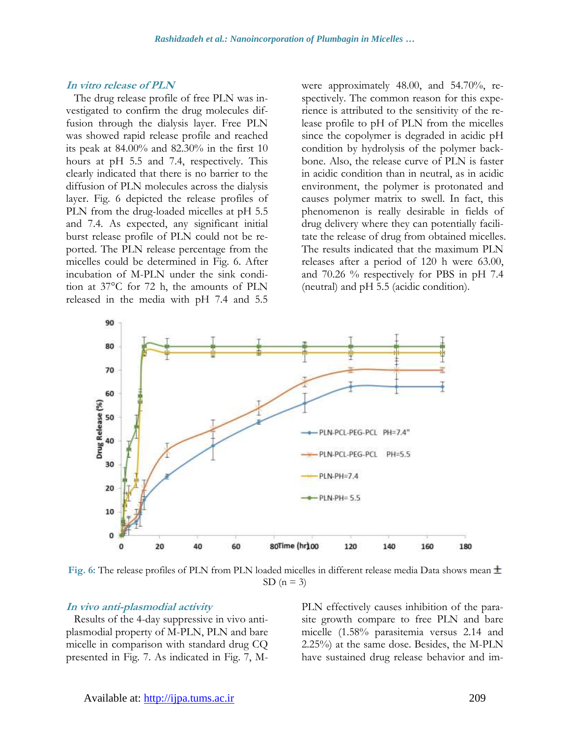#### **In vitro release of PLN**

The drug release profile of free PLN was investigated to confirm the drug molecules diffusion through the dialysis layer. Free PLN was showed rapid release profile and reached its peak at 84.00% and 82.30% in the first 10 hours at pH 5.5 and 7.4, respectively. This clearly indicated that there is no barrier to the diffusion of PLN molecules across the dialysis layer. Fig. 6 depicted the release profiles of PLN from the drug-loaded micelles at pH 5.5 and 7.4. As expected, any significant initial burst release profile of PLN could not be reported. The PLN release percentage from the micelles could be determined in Fig. 6. After incubation of M-PLN under the sink condition at 37°C for 72 h, the amounts of PLN released in the media with pH 7.4 and 5.5

were approximately 48.00, and 54.70%, respectively. The common reason for this experience is attributed to the sensitivity of the release profile to pH of PLN from the micelles since the copolymer is degraded in acidic pH condition by hydrolysis of the polymer backbone. Also, the release curve of PLN is faster in acidic condition than in neutral, as in acidic environment, the polymer is protonated and causes polymer matrix to swell. In fact, this phenomenon is really desirable in fields of drug delivery where they can potentially facilitate the release of drug from obtained micelles. The results indicated that the maximum PLN releases after a period of 120 h were 63.00, and 70.26 % respectively for PBS in pH 7.4 (neutral) and pH 5.5 (acidic condition).



**Fig. 6:** The release profiles of PLN from PLN loaded micelles in different release media Data shows mean SD  $(n = 3)$ 

#### **In vivo anti-plasmodial activity**

Results of the 4-day suppressive in vivo antiplasmodial property of M-PLN, PLN and bare micelle in comparison with standard drug CQ presented in Fig. 7. As indicated in Fig. 7, M- PLN effectively causes inhibition of the parasite growth compare to free PLN and bare micelle (1.58% parasitemia versus 2.14 and 2.25%) at the same dose. Besides, the M-PLN have sustained drug release behavior and im-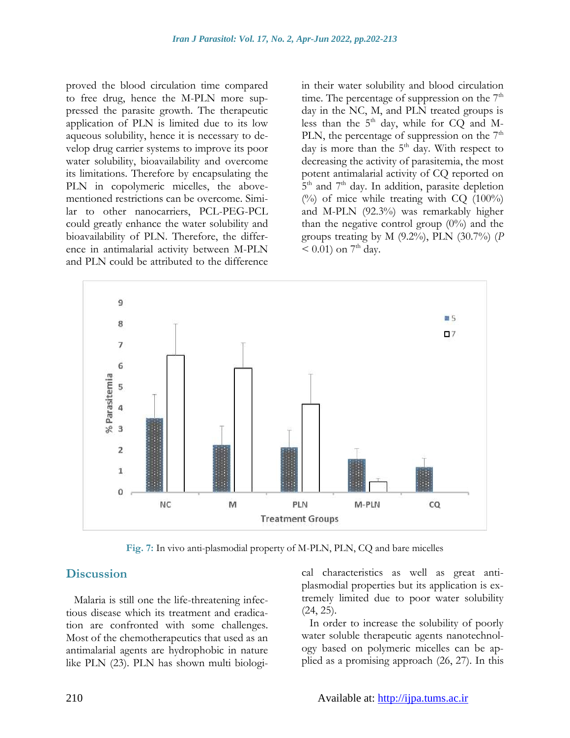proved the blood circulation time compared to free drug, hence the M-PLN more suppressed the parasite growth. The therapeutic application of PLN is limited due to its low aqueous solubility, hence it is necessary to develop drug carrier systems to improve its poor water solubility, bioavailability and overcome its limitations. Therefore by encapsulating the PLN in copolymeric micelles, the abovementioned restrictions can be overcome. Similar to other nanocarriers, PCL-PEG-PCL could greatly enhance the water solubility and bioavailability of PLN. Therefore, the difference in antimalarial activity between M-PLN and PLN could be attributed to the difference

in their water solubility and blood circulation time. The percentage of suppression on the  $7<sup>th</sup>$ day in the NC, M, and PLN treated groups is less than the  $5<sup>th</sup>$  day, while for CQ and M-PLN, the percentage of suppression on the  $7<sup>th</sup>$ day is more than the 5<sup>th</sup> day. With respect to decreasing the activity of parasitemia, the most potent antimalarial activity of CQ reported on 5<sup>th</sup> and 7<sup>th</sup> day. In addition, parasite depletion  $(%)$  of mice while treating with CQ  $(100%)$ and M-PLN (92.3%) was remarkably higher than the negative control group  $(0\%)$  and the groups treating by M (9.2%), PLN (30.7%) (*P*  $< 0.01$ ) on 7<sup>th</sup> day.



**Fig. 7:** In vivo anti-plasmodial property of M-PLN, PLN, CQ and bare micelles

### **Discussion**

Malaria is still one the life-threatening infectious disease which its treatment and eradication are confronted with some challenges. Most of the chemotherapeutics that used as an antimalarial agents are hydrophobic in nature like PLN (23). PLN has shown multi biological characteristics as well as great antiplasmodial properties but its application is extremely limited due to poor water solubility (24, 25).

In order to increase the solubility of poorly water soluble therapeutic agents nanotechnology based on polymeric micelles can be applied as a promising approach (26, 27). In this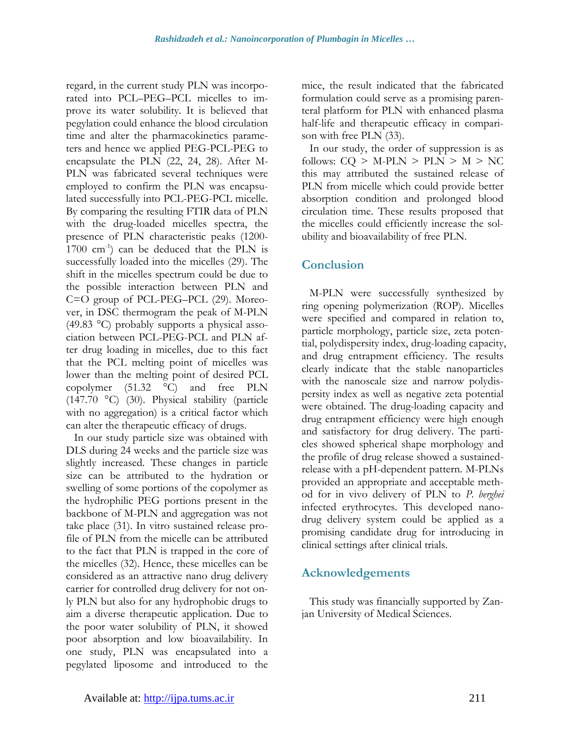regard, in the current study PLN was incorporated into PCL–PEG–PCL micelles to improve its water solubility. It is believed that pegylation could enhance the blood circulation time and alter the pharmacokinetics parameters and hence we applied PEG-PCL-PEG to encapsulate the PLN (22, 24, 28). After M-PLN was fabricated several techniques were employed to confirm the PLN was encapsulated successfully into PCL-PEG-PCL micelle. By comparing the resulting FTIR data of PLN with the drug-loaded micelles spectra, the presence of PLN characteristic peaks (1200-  $1700 \text{ cm}^{-1}$ ) can be deduced that the PLN is successfully loaded into the micelles (29). The shift in the micelles spectrum could be due to the possible interaction between PLN and C=O group of PCL-PEG–PCL (29). Moreover, in DSC thermogram the peak of M-PLN (49.83 °C) probably supports a physical association between PCL-PEG-PCL and PLN after drug loading in micelles, due to this fact that the PCL melting point of micelles was lower than the melting point of desired PCL copolymer (51.32 °C) and free PLN (147.70 °C) (30). Physical stability (particle with no aggregation) is a critical factor which can alter the therapeutic efficacy of drugs.

In our study particle size was obtained with DLS during 24 weeks and the particle size was slightly increased. These changes in particle size can be attributed to the hydration or swelling of some portions of the copolymer as the hydrophilic PEG portions present in the backbone of M-PLN and aggregation was not take place (31). In vitro sustained release profile of PLN from the micelle can be attributed to the fact that PLN is trapped in the core of the micelles (32). Hence, these micelles can be considered as an attractive nano drug delivery carrier for controlled drug delivery for not only PLN but also for any hydrophobic drugs to aim a diverse therapeutic application. Due to the poor water solubility of PLN, it showed poor absorption and low bioavailability. In one study, PLN was encapsulated into a pegylated liposome and introduced to the mice, the result indicated that the fabricated formulation could serve as a promising parenteral platform for PLN with enhanced plasma half-life and therapeutic efficacy in comparison with free PLN (33).

In our study, the order of suppression is as follows:  $CQ > M\text{-PLN} > PLN > M > NC$ this may attributed the sustained release of PLN from micelle which could provide better absorption condition and prolonged blood circulation time. These results proposed that the micelles could efficiently increase the solubility and bioavailability of free PLN.

# **Conclusion**

M-PLN were successfully synthesized by ring opening polymerization (ROP). Micelles were specified and compared in relation to, particle morphology, particle size, zeta potential, polydispersity index, drug-loading capacity, and drug entrapment efficiency. The results clearly indicate that the stable nanoparticles with the nanoscale size and narrow polydispersity index as well as negative zeta potential were obtained. The drug-loading capacity and drug entrapment efficiency were high enough and satisfactory for drug delivery. The particles showed spherical shape morphology and the profile of drug release showed a sustainedrelease with a pH-dependent pattern. M-PLNs provided an appropriate and acceptable method for in vivo delivery of PLN to *P. berghei* infected erythrocytes. This developed nanodrug delivery system could be applied as a promising candidate drug for introducing in clinical settings after clinical trials.

# **Acknowledgements**

This study was financially supported by Zanjan University of Medical Sciences.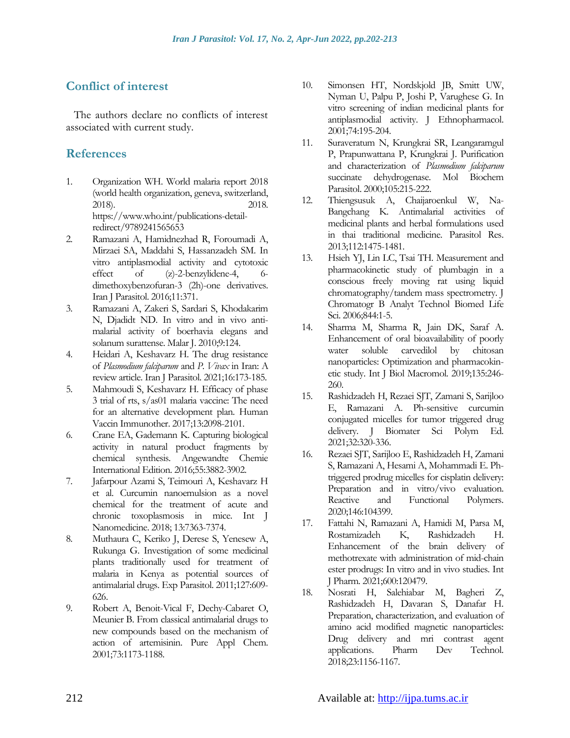# **Conflict of interest**

The authors declare no conflicts of interest associated with current study.

# **References**

- 1. Organization WH. World malaria report 2018 (world health organization, geneva, switzerland, 2018). 2018. [https://www.who.int/publications-detail](https://www.who.int/publications-detail-redirect/9789241565653)[redirect/9789241565653](https://www.who.int/publications-detail-redirect/9789241565653)
- 2. Ramazani A, Hamidnezhad R, Foroumadi A, Mirzaei SA, Maddahi S, Hassanzadeh SM. In vitro antiplasmodial activity and cytotoxic effect of (z)-2-benzylidene-4, 6 dimethoxybenzofuran-3 (2h)-one derivatives. Iran J Parasitol. 2016;11:371.
- 3. Ramazani A, Zakeri S, Sardari S, Khodakarim N, Djadidt ND. In vitro and in vivo antimalarial activity of boerhavia elegans and solanum surattense. Malar J. 2010;9:124.
- 4. Heidari A, Keshavarz H. The drug resistance of *Plasmodium falciparum* and *P. Vivax* in Iran: A review article. Iran J Parasitol. 2021;16:173-185.
- 5. Mahmoudi S, Keshavarz H. Efficacy of phase 3 trial of rts, s/as01 malaria vaccine: The need for an alternative development plan. Human Vaccin Immunother. 2017;13:2098-2101.
- 6. Crane EA, Gademann K. Capturing biological activity in natural product fragments by chemical synthesis. Angewandte Chemie International Edition. 2016;55:3882-3902.
- 7. Jafarpour Azami S, Teimouri A, Keshavarz H et al. Curcumin nanoemulsion as a novel chemical for the treatment of acute and chronic toxoplasmosis in mice. Int J Nanomedicine. 2018; 13:7363-7374.
- 8. Muthaura C, Keriko J, Derese S, Yenesew A, Rukunga G. Investigation of some medicinal plants traditionally used for treatment of malaria in Kenya as potential sources of antimalarial drugs. Exp Parasitol. 2011;127:609- 626.
- 9. Robert A, Benoit-Vical F, Dechy-Cabaret O, Meunier B. From classical antimalarial drugs to new compounds based on the mechanism of action of artemisinin. Pure Appl Chem. 2001;73:1173-1188.
- 10. Simonsen HT, Nordskjold JB, Smitt UW, Nyman U, Palpu P, Joshi P, Varughese G. In vitro screening of indian medicinal plants for antiplasmodial activity. J Ethnopharmacol. 2001;74:195-204.
- 11. Suraveratum N, Krungkrai SR, Leangaramgul P, Prapunwattana P, Krungkrai J. Purification and characterization of *Plasmodium falciparum* succinate dehydrogenase. Mol Biochem Parasitol. 2000;105:215-222.
- 12. Thiengsusuk A, Chaijaroenkul W, Na-Bangchang K. Antimalarial activities of medicinal plants and herbal formulations used in thai traditional medicine. Parasitol Res. 2013;112:1475-1481.
- 13. Hsieh YJ, Lin LC, Tsai TH. Measurement and pharmacokinetic study of plumbagin in a conscious freely moving rat using liquid chromatography/tandem mass spectrometry. J Chromatogr B Analyt Technol Biomed Life Sci. 2006;844:1-5.
- 14. Sharma M, Sharma R, Jain DK, Saraf A. Enhancement of oral bioavailability of poorly water soluble carvedilol by chitosan nanoparticles: Optimization and pharmacokinetic study. Int J Biol Macromol. 2019;135:246- 260.
- 15. Rashidzadeh H, Rezaei SJT, Zamani S, Sarijloo E, Ramazani A. Ph-sensitive curcumin conjugated micelles for tumor triggered drug delivery. J Biomater Sci Polym Ed. 2021;32:320-336.
- 16. Rezaei SJT, Sarijloo E, Rashidzadeh H, Zamani S, Ramazani A, Hesami A, Mohammadi E. Phtriggered prodrug micelles for cisplatin delivery: Preparation and in vitro/vivo evaluation. Reactive and Functional Polymers. 2020;146:104399.
- 17. Fattahi N, Ramazani A, Hamidi M, Parsa M, Rostamizadeh K, Rashidzadeh H. Enhancement of the brain delivery of methotrexate with administration of mid-chain ester prodrugs: In vitro and in vivo studies. Int J Pharm. 2021;600:120479.
- 18. Nosrati H, Salehiabar M, Bagheri Z, Rashidzadeh H, Davaran S, Danafar H. Preparation, characterization, and evaluation of amino acid modified magnetic nanoparticles: Drug delivery and mri contrast agent applications. Pharm Dev Technol. 2018;23:1156-1167.